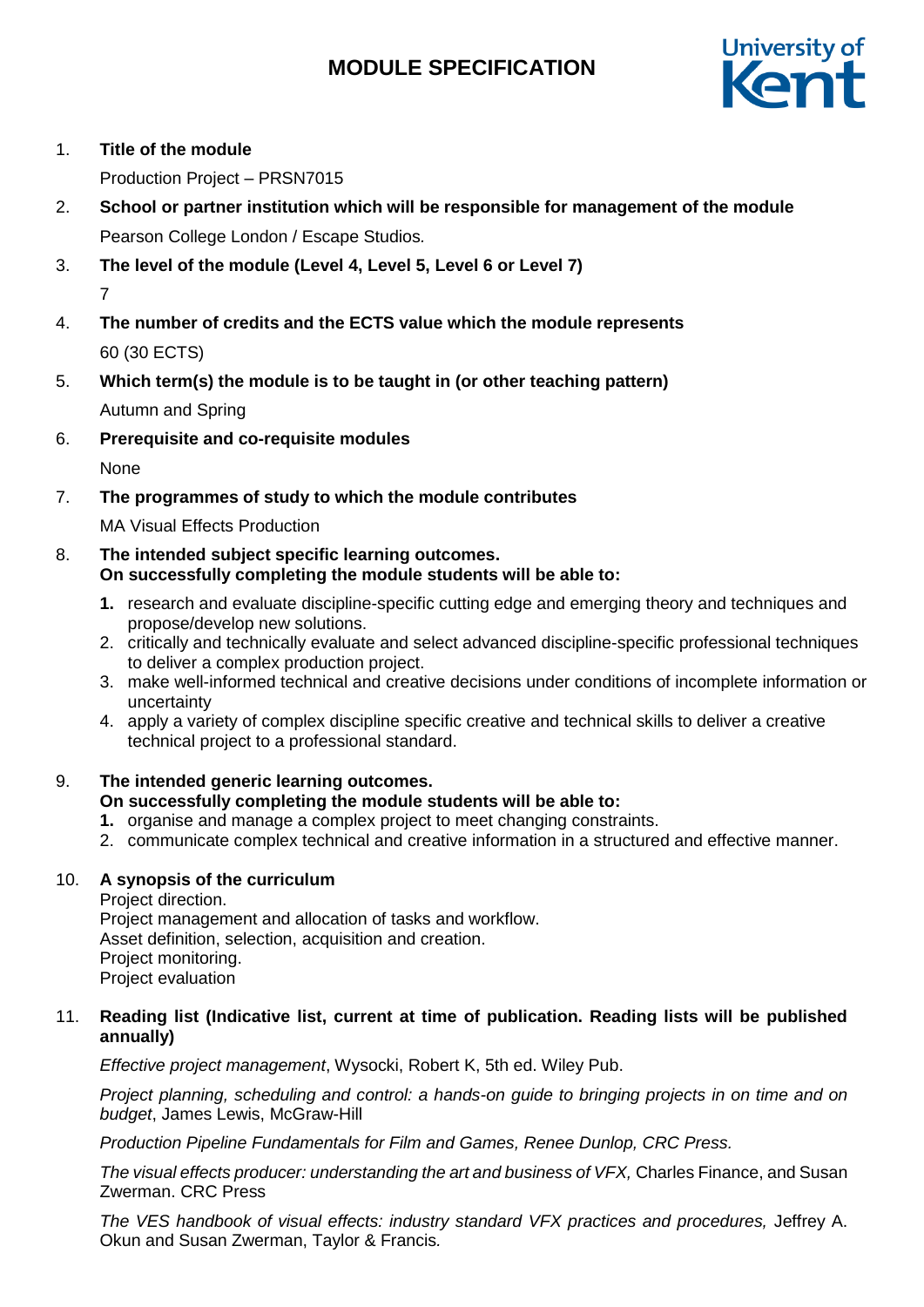# **MODULE SPECIFICATION**



# 1. **Title of the module**

Production Project – PRSN7015

- 2. **School or partner institution which will be responsible for management of the module** Pearson College London / Escape Studios*.*
- 3. **The level of the module (Level 4, Level 5, Level 6 or Level 7)** 7
- 4. **The number of credits and the ECTS value which the module represents**  60 (30 ECTS)
- 5. **Which term(s) the module is to be taught in (or other teaching pattern)** Autumn and Spring
- 6. **Prerequisite and co-requisite modules**

None

# 7. **The programmes of study to which the module contributes**

MA Visual Effects Production

## 8. **The intended subject specific learning outcomes. On successfully completing the module students will be able to:**

- **1.** research and evaluate discipline-specific cutting edge and emerging theory and techniques and propose/develop new solutions.
- 2. critically and technically evaluate and select advanced discipline-specific professional techniques to deliver a complex production project.
- 3. make well-informed technical and creative decisions under conditions of incomplete information or uncertainty
- 4. apply a variety of complex discipline specific creative and technical skills to deliver a creative technical project to a professional standard.

# 9. **The intended generic learning outcomes.**

# **On successfully completing the module students will be able to:**

- **1.** organise and manage a complex project to meet changing constraints.
- 2. communicate complex technical and creative information in a structured and effective manner.

# 10. **A synopsis of the curriculum**

Project direction. Project management and allocation of tasks and workflow. Asset definition, selection, acquisition and creation. Project monitoring. Project evaluation

# 11. **Reading list (Indicative list, current at time of publication. Reading lists will be published annually)**

*Effective project management*, Wysocki, Robert K, 5th ed. Wiley Pub.

*Project planning, scheduling and control: a hands-on guide to bringing projects in on time and on budget*, James Lewis, McGraw-Hill

*Production Pipeline Fundamentals for Film and Games, Renee Dunlop, CRC Press.*

*The visual effects producer: understanding the art and business of VFX,* Charles Finance, and Susan Zwerman. CRC Press

The VES handbook of visual effects: industry standard VFX practices and procedures, Jeffrey A. Okun and Susan Zwerman, Taylor & Francis*.*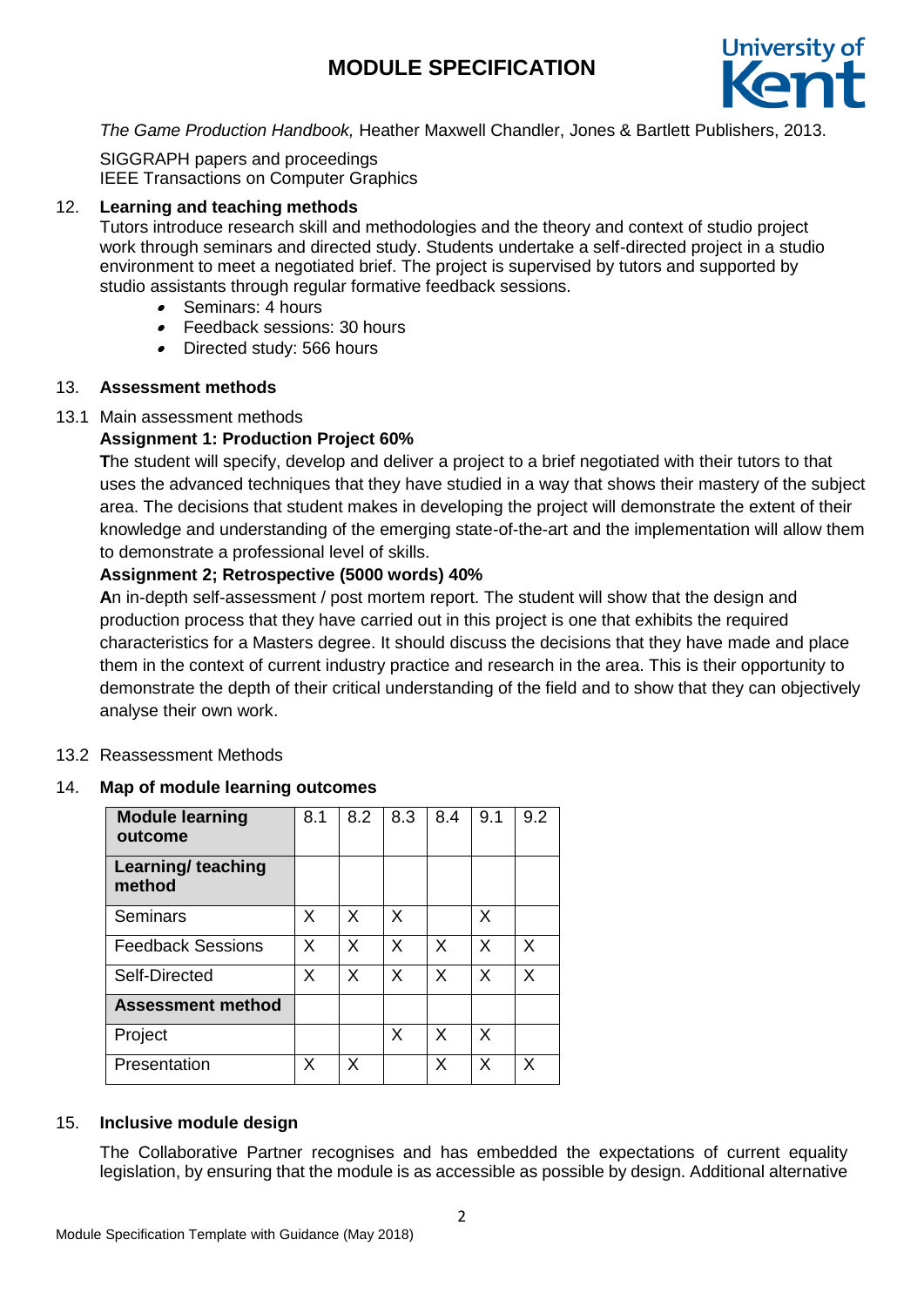# **MODULE SPECIFICATION**



*The Game Production Handbook,* Heather Maxwell Chandler, Jones & Bartlett Publishers, 2013.

SIGGRAPH papers and proceedings IEEE Transactions on Computer Graphics

#### 12. **Learning and teaching methods**

Tutors introduce research skill and methodologies and the theory and context of studio project work through seminars and directed study. Students undertake a self-directed project in a studio environment to meet a negotiated brief. The project is supervised by tutors and supported by studio assistants through regular formative feedback sessions.

- Seminars: 4 hours
- Feedback sessions: 30 hours
- Directed study: 566 hours

## 13. **Assessment methods**

## 13.1 Main assessment methods

# **Assignment 1: Production Project 60%**

**T**he student will specify, develop and deliver a project to a brief negotiated with their tutors to that uses the advanced techniques that they have studied in a way that shows their mastery of the subject area. The decisions that student makes in developing the project will demonstrate the extent of their knowledge and understanding of the emerging state-of-the-art and the implementation will allow them to demonstrate a professional level of skills.

## **Assignment 2; Retrospective (5000 words) 40%**

**A**n in-depth self-assessment / post mortem report. The student will show that the design and production process that they have carried out in this project is one that exhibits the required characteristics for a Masters degree. It should discuss the decisions that they have made and place them in the context of current industry practice and research in the area. This is their opportunity to demonstrate the depth of their critical understanding of the field and to show that they can objectively analyse their own work.

#### 13.2 Reassessment Methods

## 14. **Map of module learning outcomes**

| <b>Module learning</b><br>outcome | 8.1 | 8.2 | 8.3 | 8.4 | 9.1 | 9.2 |
|-----------------------------------|-----|-----|-----|-----|-----|-----|
| Learning/ teaching<br>method      |     |     |     |     |     |     |
| Seminars                          | X   | X   | X   |     | X   |     |
| <b>Feedback Sessions</b>          | X   | X   | X   | X   | X   | X   |
| Self-Directed                     | X   | X   | X   | X   | X   | X   |
| <b>Assessment method</b>          |     |     |     |     |     |     |
| Project                           |     |     | X   | X   | X   |     |
| Presentation                      | X   | х   |     | X   | Х   | X   |

## 15. **Inclusive module design**

The Collaborative Partner recognises and has embedded the expectations of current equality legislation, by ensuring that the module is as accessible as possible by design. Additional alternative